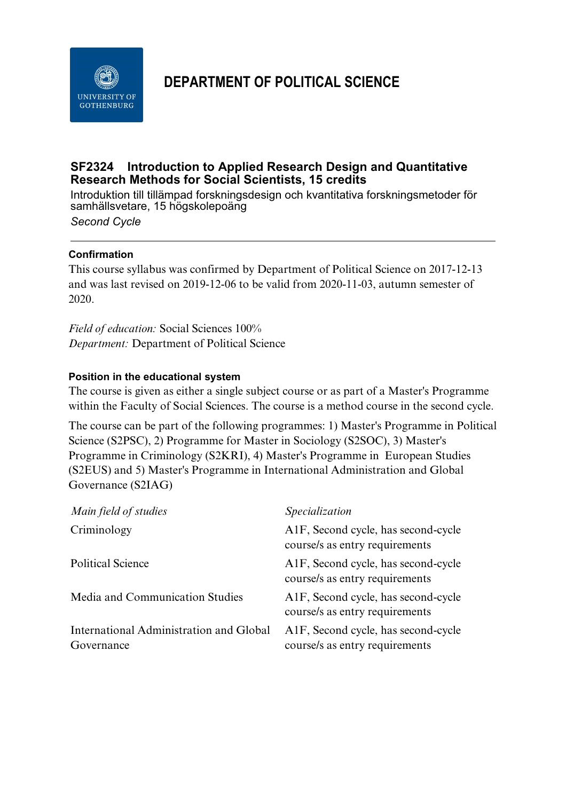

# **DEPARTMENT OF POLITICAL SCIENCE**

## **SF2324 Introduction to Applied Research Design and Quantitative Research Methods for Social Scientists, 15 credits**

Introduktion till tillämpad forskningsdesign och kvantitativa forskningsmetoder för samhällsvetare, 15 högskolepoäng *Second Cycle*

## **Confirmation**

This course syllabus was confirmed by Department of Political Science on 2017-12-13 and was last revised on 2019-12-06 to be valid from 2020-11-03, autumn semester of 2020.

*Field of education:* Social Sciences 100% *Department:* Department of Political Science

## **Position in the educational system**

The course is given as either a single subject course or as part of a Master's Programme within the Faculty of Social Sciences. The course is a method course in the second cycle.

The course can be part of the following programmes: 1) Master's Programme in Political Science (S2PSC), 2) Programme for Master in Sociology (S2SOC), 3) Master's Programme in Criminology (S2KRI), 4) Master's Programme in European Studies (S2EUS) and 5) Master's Programme in International Administration and Global Governance (S2IAG)

| Main field of studies                                 | Specialization                                                                     |
|-------------------------------------------------------|------------------------------------------------------------------------------------|
| Criminology                                           | A1F, Second cycle, has second-cycle<br>course/s as entry requirements              |
| <b>Political Science</b>                              | A <sub>1</sub> F, Second cycle, has second-cycle<br>course/s as entry requirements |
| Media and Communication Studies                       | A1F, Second cycle, has second-cycle<br>course/s as entry requirements              |
| International Administration and Global<br>Governance | A1F, Second cycle, has second-cycle<br>course/s as entry requirements              |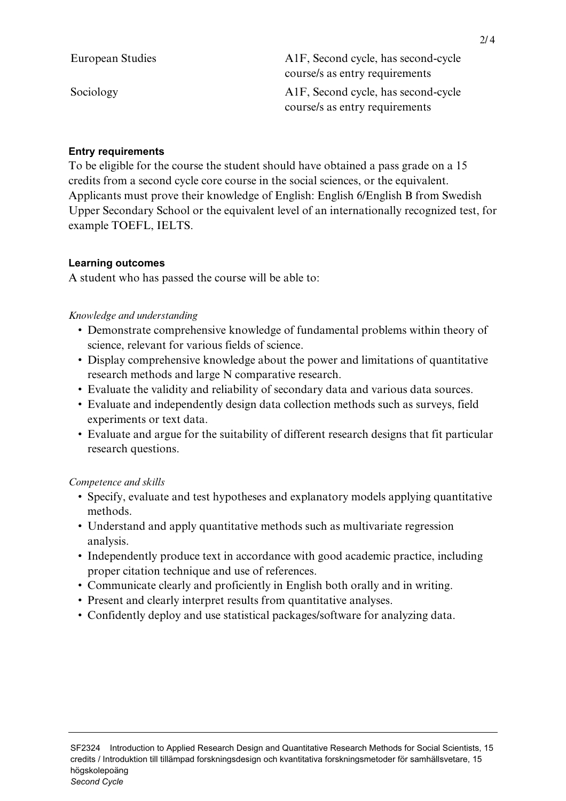| European Studies | A <sub>1</sub> F, Second cycle, has second-cycle<br>course/s as entry requirements |
|------------------|------------------------------------------------------------------------------------|
| Sociology        | A1F, Second cycle, has second-cycle<br>course/s as entry requirements              |

#### **Entry requirements**

To be eligible for the course the student should have obtained a pass grade on a 15 credits from a second cycle core course in the social sciences, or the equivalent. Applicants must prove their knowledge of English: English 6/English B from Swedish Upper Secondary School or the equivalent level of an internationally recognized test, for example TOEFL, IELTS.

#### **Learning outcomes**

A student who has passed the course will be able to:

#### *Knowledge and understanding*

- Demonstrate comprehensive knowledge of fundamental problems within theory of science, relevant for various fields of science.
- Display comprehensive knowledge about the power and limitations of quantitative research methods and large N comparative research.
- Evaluate the validity and reliability of secondary data and various data sources.
- Evaluate and independently design data collection methods such as surveys, field experiments or text data.
- Evaluate and argue for the suitability of different research designs that fit particular research questions.

## *Competence and skills*

- Specify, evaluate and test hypotheses and explanatory models applying quantitative methods.
- Understand and apply quantitative methods such as multivariate regression analysis.
- Independently produce text in accordance with good academic practice, including proper citation technique and use of references.
- Communicate clearly and proficiently in English both orally and in writing.
- Present and clearly interpret results from quantitative analyses.
- Confidently deploy and use statistical packages/software for analyzing data.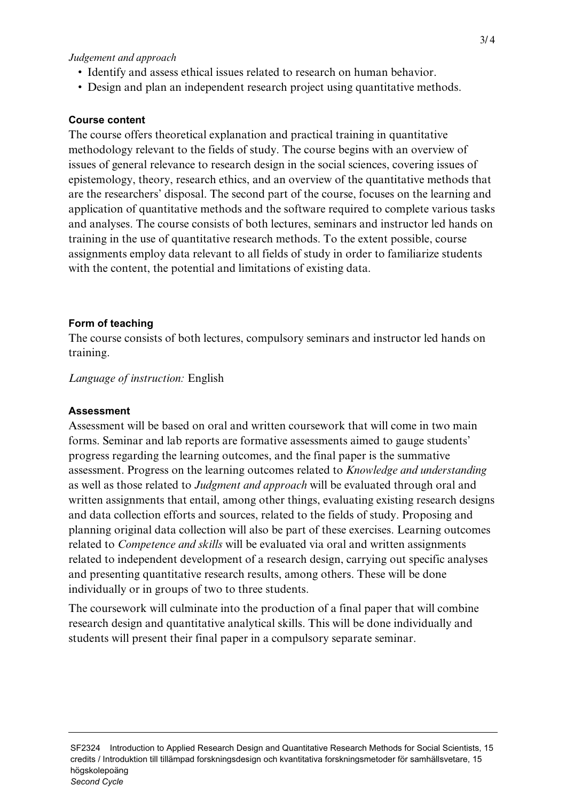#### *Judgement and approach*

- Identify and assess ethical issues related to research on human behavior.
- Design and plan an independent research project using quantitative methods.

#### **Course content**

The course offers theoretical explanation and practical training in quantitative methodology relevant to the fields of study. The course begins with an overview of issues of general relevance to research design in the social sciences, covering issues of epistemology, theory, research ethics, and an overview of the quantitative methods that are the researchers' disposal. The second part of the course, focuses on the learning and application of quantitative methods and the software required to complete various tasks and analyses. The course consists of both lectures, seminars and instructor led hands on training in the use of quantitative research methods. To the extent possible, course assignments employ data relevant to all fields of study in order to familiarize students with the content, the potential and limitations of existing data.

#### **Form of teaching**

The course consists of both lectures, compulsory seminars and instructor led hands on training.

*Language of instruction:* English

#### **Assessment**

Assessment will be based on oral and written coursework that will come in two main forms. Seminar and lab reports are formative assessments aimed to gauge students' progress regarding the learning outcomes, and the final paper is the summative assessment. Progress on the learning outcomes related to *Knowledge and understanding* as well as those related to *Judgment and approach* will be evaluated through oral and written assignments that entail, among other things, evaluating existing research designs and data collection efforts and sources, related to the fields of study. Proposing and planning original data collection will also be part of these exercises. Learning outcomes related to *Competence and skills* will be evaluated via oral and written assignments related to independent development of a research design, carrying out specific analyses and presenting quantitative research results, among others. These will be done individually or in groups of two to three students.

The coursework will culminate into the production of a final paper that will combine research design and quantitative analytical skills. This will be done individually and students will present their final paper in a compulsory separate seminar.

SF2324 Introduction to Applied Research Design and Quantitative Research Methods for Social Scientists, 15 credits / Introduktion till tillämpad forskningsdesign och kvantitativa forskningsmetoder för samhällsvetare, 15 högskolepoäng *Second Cycle*